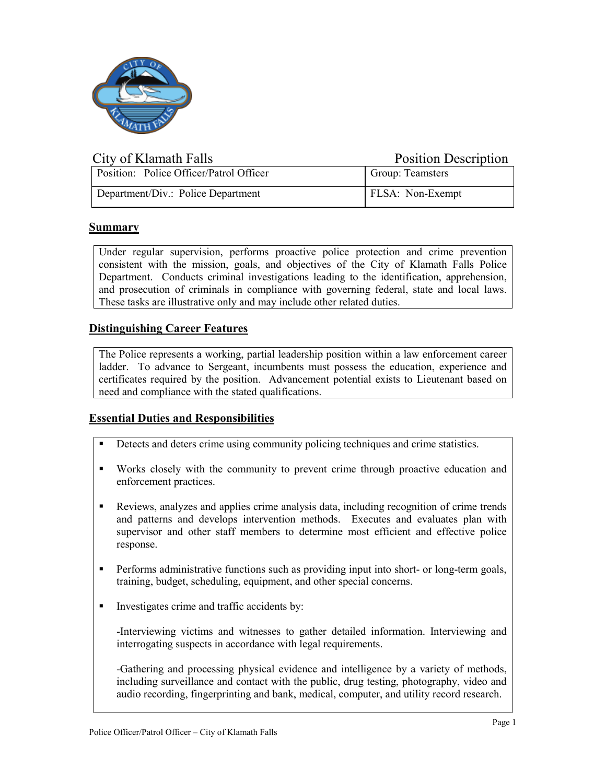

| City of Klamath Falls                   | <b>Position Description</b> |
|-----------------------------------------|-----------------------------|
| Position: Police Officer/Patrol Officer | Group: Teamsters            |
| Department/Div.: Police Department      | <b>FLSA:</b> Non-Exempt     |

# **Summary**

Under regular supervision, performs proactive police protection and crime prevention consistent with the mission, goals, and objectives of the City of Klamath Falls Police Department. Conducts criminal investigations leading to the identification, apprehension, and prosecution of criminals in compliance with governing federal, state and local laws. These tasks are illustrative only and may include other related duties.

# **Distinguishing Career Features**

The Police represents a working, partial leadership position within a law enforcement career ladder. To advance to Sergeant, incumbents must possess the education, experience and certificates required by the position. Advancement potential exists to Lieutenant based on need and compliance with the stated qualifications.

### **Essential Duties and Responsibilities**

- Detects and deters crime using community policing techniques and crime statistics.
- Works closely with the community to prevent crime through proactive education and enforcement practices.
- Reviews, analyzes and applies crime analysis data, including recognition of crime trends and patterns and develops intervention methods. Executes and evaluates plan with supervisor and other staff members to determine most efficient and effective police response.
- Performs administrative functions such as providing input into short- or long-term goals, training, budget, scheduling, equipment, and other special concerns.
- Investigates crime and traffic accidents by:

-Interviewing victims and witnesses to gather detailed information. Interviewing and interrogating suspects in accordance with legal requirements.

-Gathering and processing physical evidence and intelligence by a variety of methods, including surveillance and contact with the public, drug testing, photography, video and audio recording, fingerprinting and bank, medical, computer, and utility record research.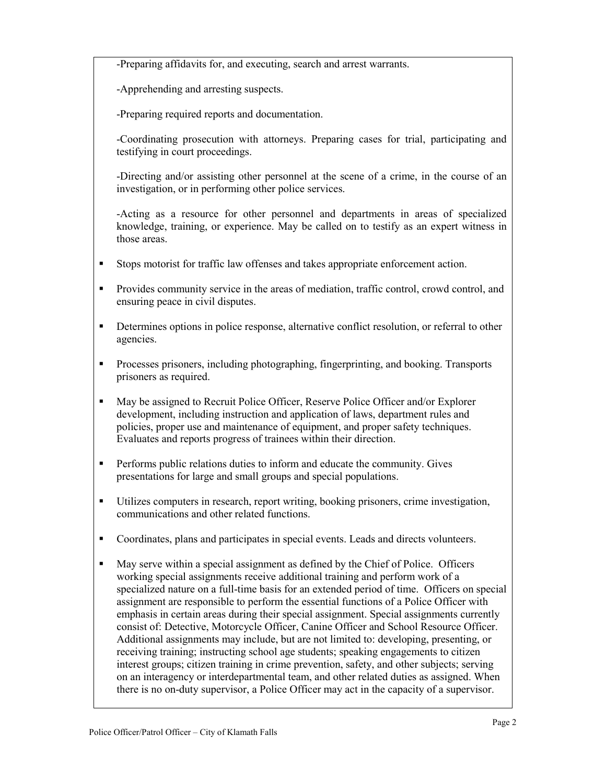-Preparing affidavits for, and executing, search and arrest warrants.

-Apprehending and arresting suspects.

-Preparing required reports and documentation.

-Coordinating prosecution with attorneys. Preparing cases for trial, participating and testifying in court proceedings.

-Directing and/or assisting other personnel at the scene of a crime, in the course of an investigation, or in performing other police services.

-Acting as a resource for other personnel and departments in areas of specialized knowledge, training, or experience. May be called on to testify as an expert witness in those areas.

- Stops motorist for traffic law offenses and takes appropriate enforcement action.
- Provides community service in the areas of mediation, traffic control, crowd control, and ensuring peace in civil disputes.
- Determines options in police response, alternative conflict resolution, or referral to other agencies.
- **Processes prisoners, including photographing, fingerprinting, and booking. Transports** prisoners as required.
- May be assigned to Recruit Police Officer, Reserve Police Officer and/or Explorer development, including instruction and application of laws, department rules and policies, proper use and maintenance of equipment, and proper safety techniques. Evaluates and reports progress of trainees within their direction.
- **Performs public relations duties to inform and educate the community. Gives** presentations for large and small groups and special populations.
- Utilizes computers in research, report writing, booking prisoners, crime investigation, communications and other related functions.
- Coordinates, plans and participates in special events. Leads and directs volunteers.
- May serve within a special assignment as defined by the Chief of Police. Officers working special assignments receive additional training and perform work of a specialized nature on a full-time basis for an extended period of time. Officers on special assignment are responsible to perform the essential functions of a Police Officer with emphasis in certain areas during their special assignment. Special assignments currently consist of: Detective, Motorcycle Officer, Canine Officer and School Resource Officer. Additional assignments may include, but are not limited to: developing, presenting, or receiving training; instructing school age students; speaking engagements to citizen interest groups; citizen training in crime prevention, safety, and other subjects; serving on an interagency or interdepartmental team, and other related duties as assigned. When there is no on-duty supervisor, a Police Officer may act in the capacity of a supervisor.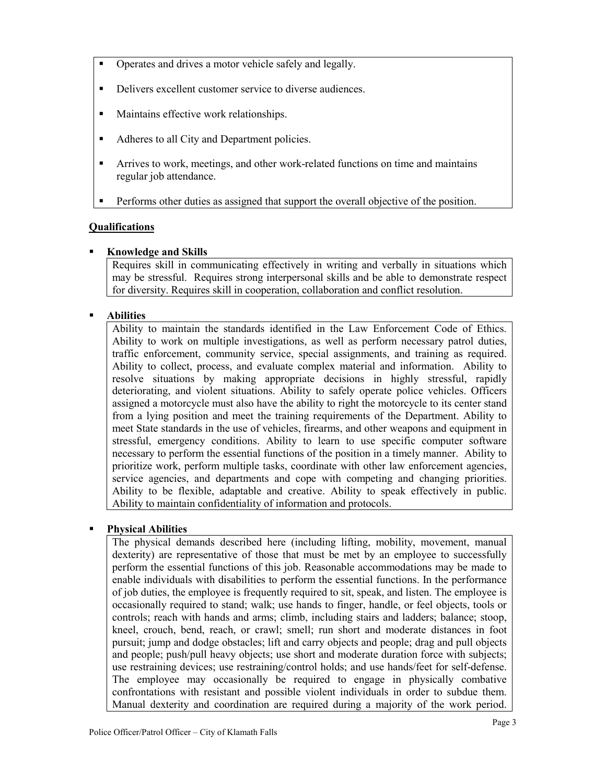- Operates and drives a motor vehicle safely and legally.
- Delivers excellent customer service to diverse audiences.
- **Maintains effective work relationships.**
- Adheres to all City and Department policies.
- Arrives to work, meetings, and other work-related functions on time and maintains regular job attendance.
- Performs other duties as assigned that support the overall objective of the position.

# **Qualifications**

**Knowledge and Skills**

Requires skill in communicating effectively in writing and verbally in situations which may be stressful. Requires strong interpersonal skills and be able to demonstrate respect for diversity. Requires skill in cooperation, collaboration and conflict resolution.

# **Abilities**

Ability to maintain the standards identified in the Law Enforcement Code of Ethics. Ability to work on multiple investigations, as well as perform necessary patrol duties, traffic enforcement, community service, special assignments, and training as required. Ability to collect, process, and evaluate complex material and information. Ability to resolve situations by making appropriate decisions in highly stressful, rapidly deteriorating, and violent situations. Ability to safely operate police vehicles. Officers assigned a motorcycle must also have the ability to right the motorcycle to its center stand from a lying position and meet the training requirements of the Department. Ability to meet State standards in the use of vehicles, firearms, and other weapons and equipment in stressful, emergency conditions. Ability to learn to use specific computer software necessary to perform the essential functions of the position in a timely manner. Ability to prioritize work, perform multiple tasks, coordinate with other law enforcement agencies, service agencies, and departments and cope with competing and changing priorities. Ability to be flexible, adaptable and creative. Ability to speak effectively in public. Ability to maintain confidentiality of information and protocols.

### **Physical Abilities**

The physical demands described here (including lifting, mobility, movement, manual dexterity) are representative of those that must be met by an employee to successfully perform the essential functions of this job. Reasonable accommodations may be made to enable individuals with disabilities to perform the essential functions. In the performance of job duties, the employee is frequently required to sit, speak, and listen. The employee is occasionally required to stand; walk; use hands to finger, handle, or feel objects, tools or controls; reach with hands and arms; climb, including stairs and ladders; balance; stoop, kneel, crouch, bend, reach, or crawl; smell; run short and moderate distances in foot pursuit; jump and dodge obstacles; lift and carry objects and people; drag and pull objects and people; push/pull heavy objects; use short and moderate duration force with subjects; use restraining devices; use restraining/control holds; and use hands/feet for self-defense. The employee may occasionally be required to engage in physically combative confrontations with resistant and possible violent individuals in order to subdue them. Manual dexterity and coordination are required during a majority of the work period.